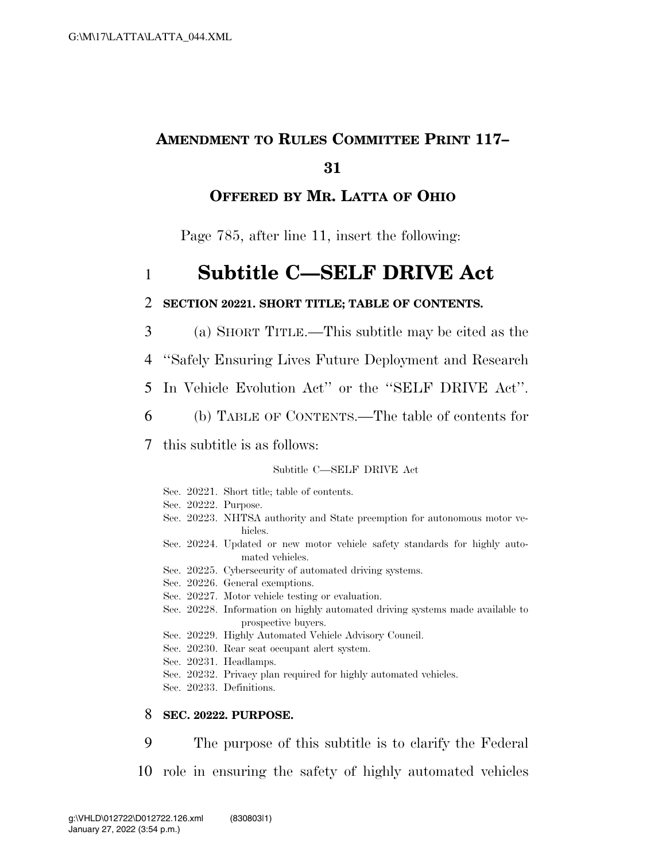# **AMENDMENT TO RULES COMMITTEE PRINT 117–**

### **31**

### **OFFERED BY MR. LATTA OF OHIO**

Page 785, after line 11, insert the following:

# 1 **Subtitle C—SELF DRIVE Act**

### 2 **SECTION 20221. SHORT TITLE; TABLE OF CONTENTS.**

3 (a) SHORT TITLE.—This subtitle may be cited as the

4 ''Safely Ensuring Lives Future Deployment and Research

- 5 In Vehicle Evolution Act'' or the ''SELF DRIVE Act''.
- 6 (b) TABLE OF CONTENTS.—The table of contents for

### 7 this subtitle is as follows:

#### Subtitle C—SELF DRIVE Act

Sec. 20221. Short title; table of contents. Sec. 20222. Purpose. Sec. 20223. NHTSA authority and State preemption for autonomous motor vehicles. Sec. 20224. Updated or new motor vehicle safety standards for highly automated vehicles. Sec. 20225. Cybersecurity of automated driving systems. Sec. 20226. General exemptions. Sec. 20227. Motor vehicle testing or evaluation. Sec. 20228. Information on highly automated driving systems made available to prospective buyers. Sec. 20229. Highly Automated Vehicle Advisory Council. Sec. 20230. Rear seat occupant alert system. Sec. 20231. Headlamps. Sec. 20232. Privacy plan required for highly automated vehicles. Sec. 20233. Definitions.

### 8 **SEC. 20222. PURPOSE.**

9 The purpose of this subtitle is to clarify the Federal

10 role in ensuring the safety of highly automated vehicles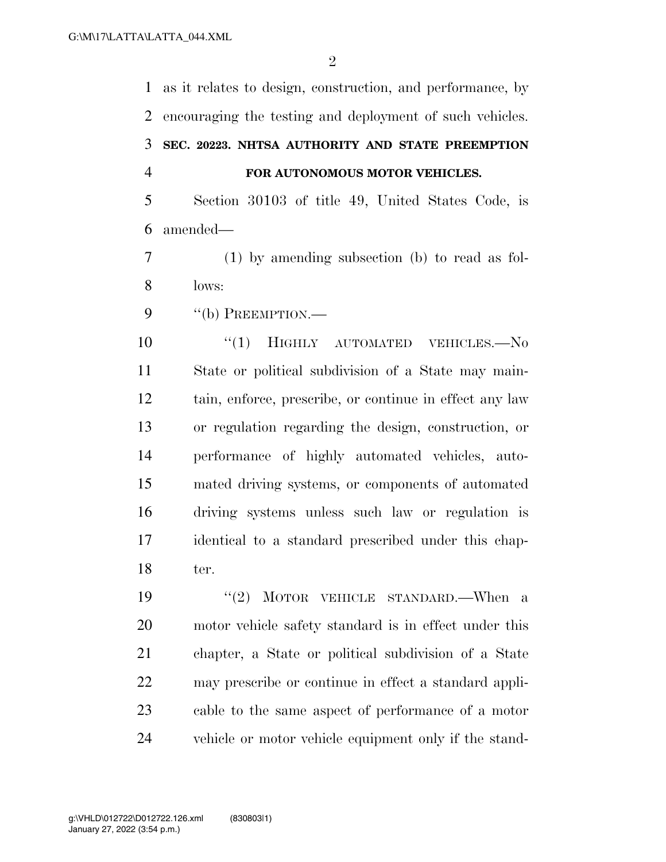as it relates to design, construction, and performance, by encouraging the testing and deployment of such vehicles. **SEC. 20223. NHTSA AUTHORITY AND STATE PREEMPTION FOR AUTONOMOUS MOTOR VEHICLES.**  Section 30103 of title 49, United States Code, is amended—

 (1) by amending subsection (b) to read as fol-lows:

9 "(b) PREEMPTION.—

 $(1)$  HIGHLY AUTOMATED VEHICLES. No State or political subdivision of a State may main- tain, enforce, prescribe, or continue in effect any law or regulation regarding the design, construction, or performance of highly automated vehicles, auto- mated driving systems, or components of automated driving systems unless such law or regulation is identical to a standard prescribed under this chap-ter.

19 ''(2) MOTOR VEHICLE STANDARD.—When a motor vehicle safety standard is in effect under this chapter, a State or political subdivision of a State may prescribe or continue in effect a standard appli- cable to the same aspect of performance of a motor vehicle or motor vehicle equipment only if the stand-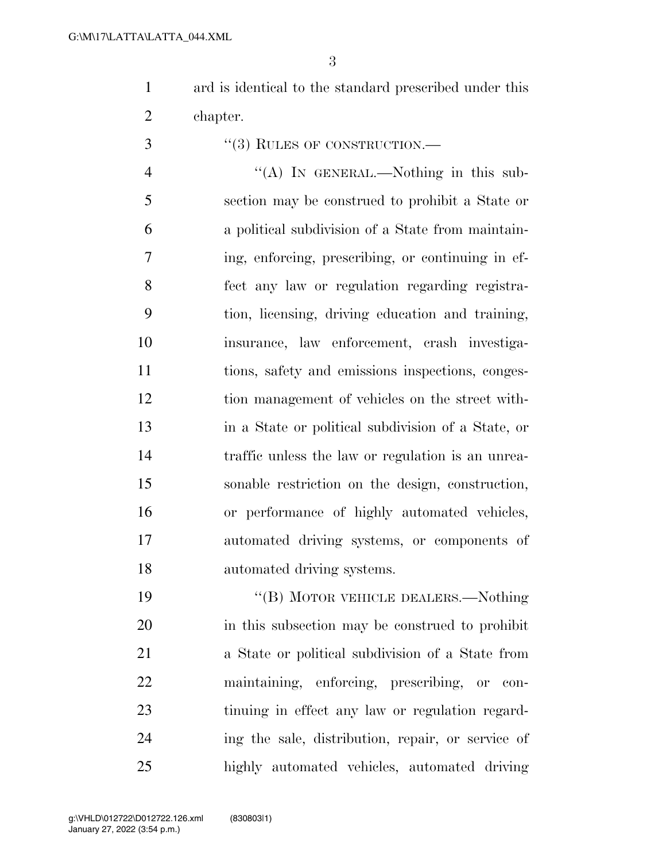ard is identical to the standard prescribed under this chapter.

''(3) RULES OF CONSTRUCTION.—

4 "(A) In GENERAL.—Nothing in this sub- section may be construed to prohibit a State or a political subdivision of a State from maintain- ing, enforcing, prescribing, or continuing in ef- fect any law or regulation regarding registra- tion, licensing, driving education and training, insurance, law enforcement, crash investiga- tions, safety and emissions inspections, conges- tion management of vehicles on the street with- in a State or political subdivision of a State, or traffic unless the law or regulation is an unrea- sonable restriction on the design, construction, or performance of highly automated vehicles, automated driving systems, or components of automated driving systems.

19 "(B) MOTOR VEHICLE DEALERS.—Nothing in this subsection may be construed to prohibit a State or political subdivision of a State from maintaining, enforcing, prescribing, or con- tinuing in effect any law or regulation regard- ing the sale, distribution, repair, or service of highly automated vehicles, automated driving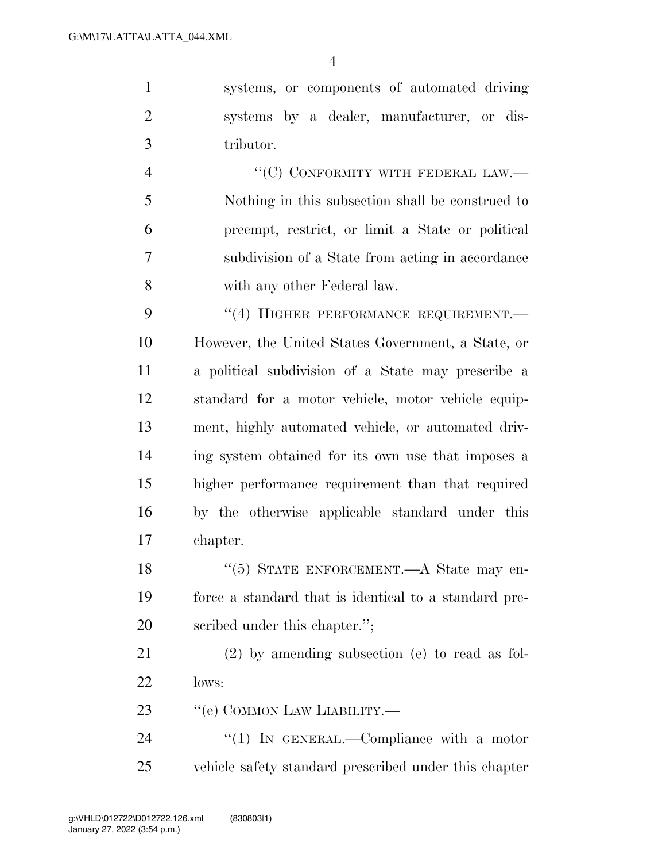systems, or components of automated driving systems by a dealer, manufacturer, or dis-tributor.

 $"({\rm C})$  CONFORMITY WITH FEDERAL LAW.— Nothing in this subsection shall be construed to preempt, restrict, or limit a State or political subdivision of a State from acting in accordance with any other Federal law.

9 "(4) HIGHER PERFORMANCE REQUIREMENT. However, the United States Government, a State, or a political subdivision of a State may prescribe a standard for a motor vehicle, motor vehicle equip- ment, highly automated vehicle, or automated driv- ing system obtained for its own use that imposes a higher performance requirement than that required by the otherwise applicable standard under this chapter.

18 "(5) STATE ENFORCEMENT.—A State may en- force a standard that is identical to a standard pre-scribed under this chapter.'';

 (2) by amending subsection (e) to read as fol- $22 \text{ lows}$ 

23 " (e) COMMON LAW LIABILITY.—

24 "(1) In GENERAL.—Compliance with a motor vehicle safety standard prescribed under this chapter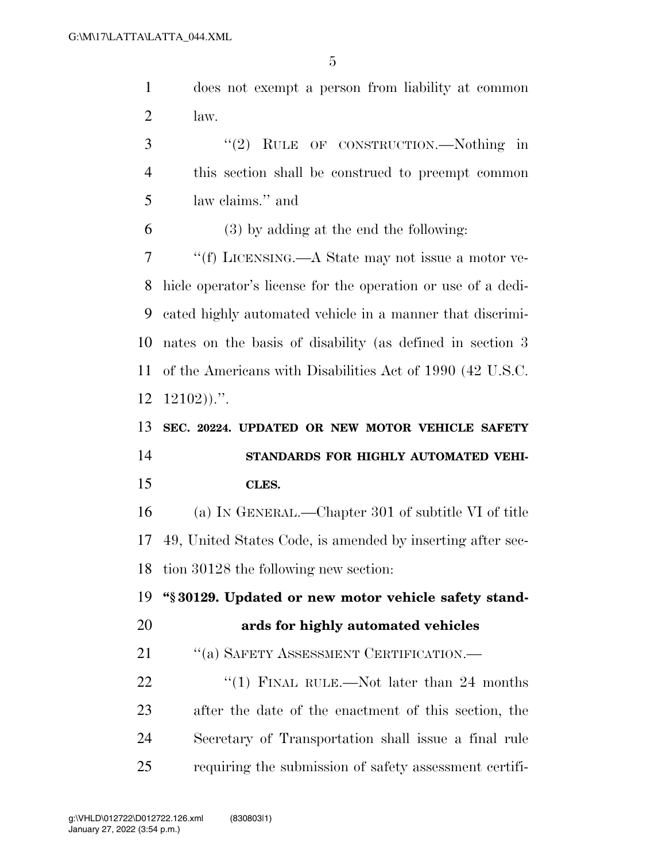does not exempt a person from liability at common law. ''(2) RULE OF CONSTRUCTION.—Nothing in this section shall be construed to preempt common law claims.'' and (3) by adding at the end the following:

 ''(f) LICENSING.—A State may not issue a motor ve- hicle operator's license for the operation or use of a dedi- cated highly automated vehicle in a manner that discrimi- nates on the basis of disability (as defined in section 3 of the Americans with Disabilities Act of 1990 (42 U.S.C.  $12102$ )).".

# **SEC. 20224. UPDATED OR NEW MOTOR VEHICLE SAFETY STANDARDS FOR HIGHLY AUTOMATED VEHI-CLES.**

 (a) IN GENERAL.—Chapter 301 of subtitle VI of title 49, United States Code, is amended by inserting after sec-tion 30128 the following new section:

**''§ 30129. Updated or new motor vehicle safety stand-**

### **ards for highly automated vehicles**

21 "(a) SAFETY ASSESSMENT CERTIFICATION.—

22 "(1) FINAL RULE.—Not later than 24 months after the date of the enactment of this section, the Secretary of Transportation shall issue a final rule requiring the submission of safety assessment certifi-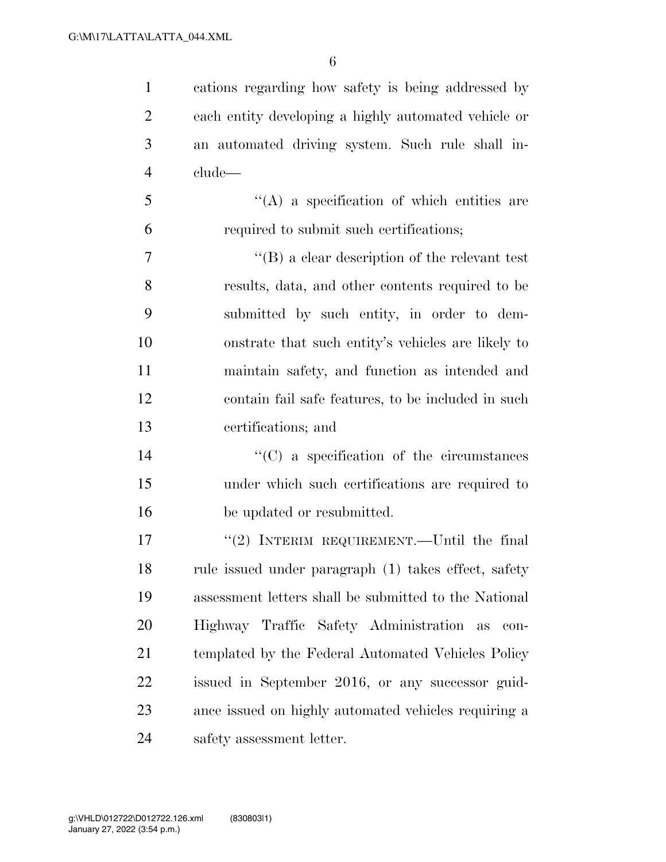cations regarding how safety is being addressed by each entity developing a highly automated vehicle or an automated driving system. Such rule shall in-clude—

 ''(A) a specification of which entities are required to submit such certifications;

 ''(B) a clear description of the relevant test results, data, and other contents required to be submitted by such entity, in order to dem- onstrate that such entity's vehicles are likely to maintain safety, and function as intended and contain fail safe features, to be included in such certifications; and

14  $\cdot$  (C) a specification of the circumstances under which such certifications are required to be updated or resubmitted.

 ''(2) INTERIM REQUIREMENT.—Until the final rule issued under paragraph (1) takes effect, safety assessment letters shall be submitted to the National Highway Traffic Safety Administration as con- templated by the Federal Automated Vehicles Policy issued in September 2016, or any successor guid- ance issued on highly automated vehicles requiring a safety assessment letter.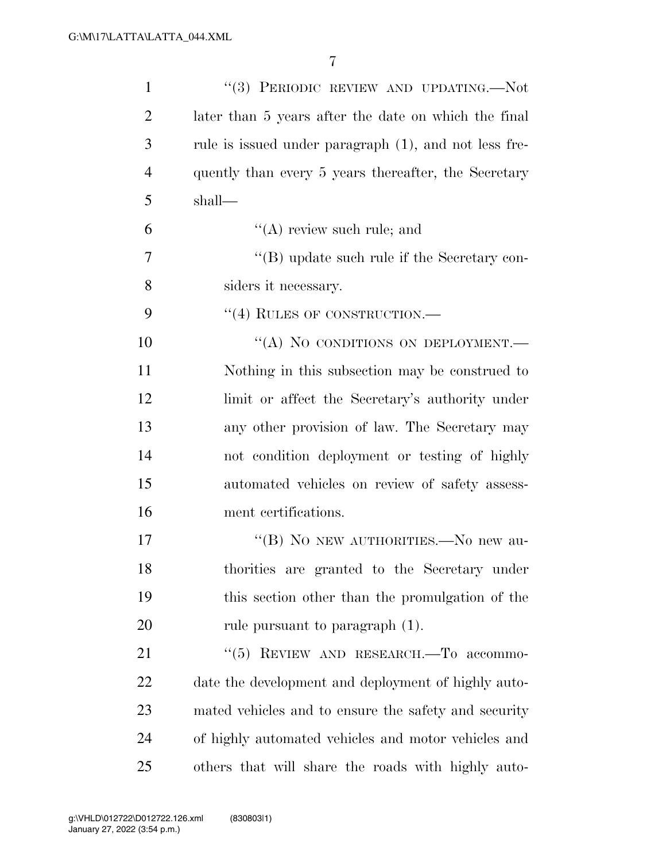| $\mathbf{1}$   | "(3) PERIODIC REVIEW AND UPDATING.-Not                |
|----------------|-------------------------------------------------------|
| $\overline{c}$ | later than 5 years after the date on which the final  |
| 3              | rule is issued under paragraph (1), and not less fre- |
| $\overline{4}$ | quently than every 5 years thereafter, the Secretary  |
| 5              | shall—                                                |
| 6              | $\lq\lq$ review such rule; and                        |
| $\overline{7}$ | "(B) update such rule if the Secretary con-           |
| 8              | siders it necessary.                                  |
| 9              | "(4) RULES OF CONSTRUCTION.—                          |
| 10             | "(A) NO CONDITIONS ON DEPLOYMENT.-                    |
| 11             | Nothing in this subsection may be construed to        |
| 12             | limit or affect the Secretary's authority under       |
| 13             | any other provision of law. The Secretary may         |
| 14             | not condition deployment or testing of highly         |
| 15             | automated vehicles on review of safety assess-        |
| 16             | ment certifications.                                  |
| 17             | "(B) NO NEW AUTHORITIES.—No new au-                   |
| 18             | thorities are granted to the Secretary under          |
| 19             | this section other than the promulgation of the       |
| 20             | rule pursuant to paragraph (1).                       |
| 21             | "(5) REVIEW AND RESEARCH.-To accommo-                 |
| 22             | date the development and deployment of highly auto-   |
| 23             | mated vehicles and to ensure the safety and security  |
| 24             | of highly automated vehicles and motor vehicles and   |
| 25             | others that will share the roads with highly auto-    |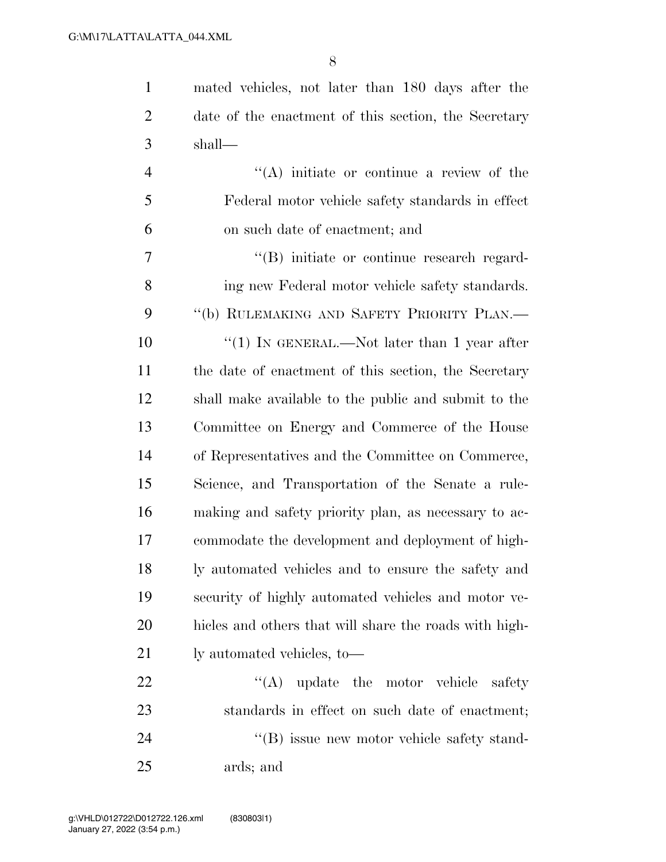| $\mathbf{1}$   | mated vehicles, not later than 180 days after the      |
|----------------|--------------------------------------------------------|
| $\overline{2}$ | date of the enactment of this section, the Secretary   |
| 3              | shall—                                                 |
| $\overline{4}$ | $\lq\lq$ initiate or continue a review of the          |
| 5              | Federal motor vehicle safety standards in effect       |
| 6              | on such date of enactment; and                         |
| 7              | "(B) initiate or continue research regard-             |
| 8              | ing new Federal motor vehicle safety standards.        |
| 9              | "(b) RULEMAKING AND SAFETY PRIORITY PLAN.—             |
| 10             | "(1) IN GENERAL.—Not later than 1 year after           |
| 11             | the date of enactment of this section, the Secretary   |
| 12             | shall make available to the public and submit to the   |
| 13             | Committee on Energy and Commerce of the House          |
| 14             | of Representatives and the Committee on Commerce,      |
| 15             | Science, and Transportation of the Senate a rule-      |
| 16             | making and safety priority plan, as necessary to ac-   |
| 17             | commodate the development and deployment of high-      |
| 18             | ly automated vehicles and to ensure the safety and     |
| 19             | security of highly automated vehicles and motor ve-    |
| 20             | hicles and others that will share the roads with high- |
| 21             | ly automated vehicles, to-                             |
| 22             | $\lq\lq$ update the motor vehicle<br>safety            |
| 23             | standards in effect on such date of enactment;         |

24 ''(B) issue new motor vehicle safety stand-ards; and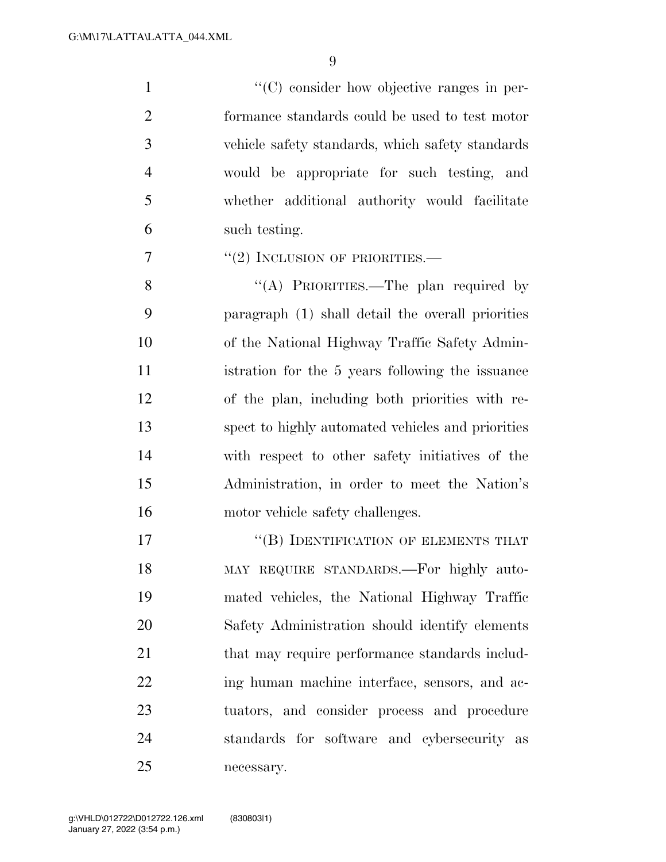$\lq(0)$  consider how objective ranges in per- formance standards could be used to test motor vehicle safety standards, which safety standards would be appropriate for such testing, and whether additional authority would facilitate such testing.

''(2) INCLUSION OF PRIORITIES.—

8 "(A) PRIORITIES.—The plan required by paragraph (1) shall detail the overall priorities of the National Highway Traffic Safety Admin- istration for the 5 years following the issuance of the plan, including both priorities with re- spect to highly automated vehicles and priorities with respect to other safety initiatives of the Administration, in order to meet the Nation's 16 motor vehicle safety challenges.

17 "(B) IDENTIFICATION OF ELEMENTS THAT MAY REQUIRE STANDARDS.—For highly auto- mated vehicles, the National Highway Traffic Safety Administration should identify elements 21 that may require performance standards includ-22 ing human machine interface, sensors, and ac- tuators, and consider process and procedure standards for software and cybersecurity as necessary.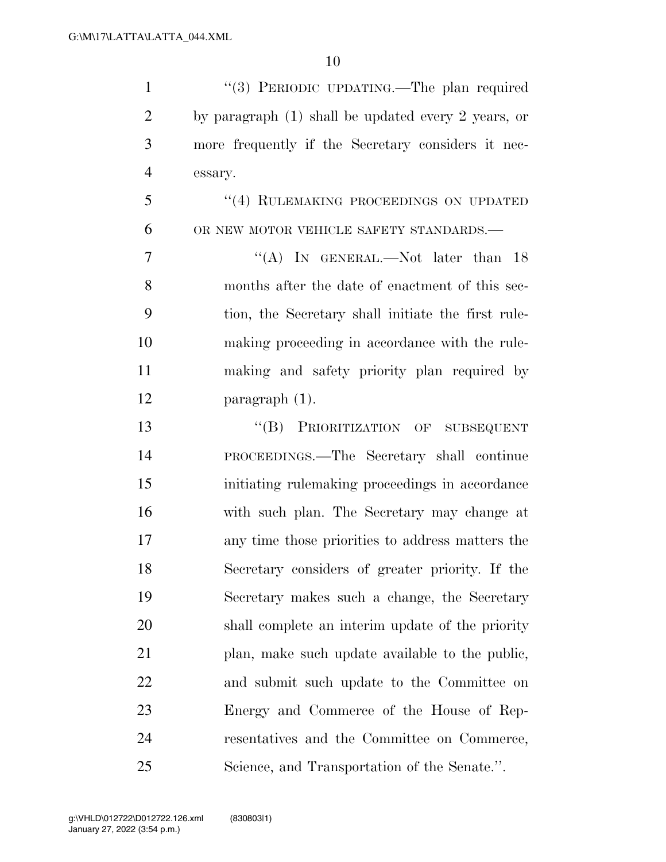| $\mathbf{1}$   | "(3) PERIODIC UPDATING.—The plan required             |
|----------------|-------------------------------------------------------|
| $\overline{2}$ | by paragraph $(1)$ shall be updated every 2 years, or |
| 3              | more frequently if the Secretary considers it nec-    |
| $\overline{4}$ | essary.                                               |
| 5              | "(4) RULEMAKING PROCEEDINGS ON UPDATED                |
| 6              | OR NEW MOTOR VEHICLE SAFETY STANDARDS.-               |
| 7              | "(A) IN GENERAL.—Not later than $18$                  |
| 8              | months after the date of enactment of this sec-       |
| 9              | tion, the Secretary shall initiate the first rule-    |
| 10             | making proceeding in accordance with the rule-        |
| 11             | making and safety priority plan required by           |
| 12             | $\frac{1}{2}$ paragraph $(1)$ .                       |
| 13             | "(B) PRIORITIZATION OF SUBSEQUENT                     |
| 14             | PROCEEDINGS.—The Secretary shall continue             |
| 15             | initiating rulemaking proceedings in accordance       |
| 16             | with such plan. The Secretary may change at           |
| 17             | any time those priorities to address matters the      |
| 18             | Secretary considers of greater priority. If the       |
| 19             | Secretary makes such a change, the Secretary          |
| 20             | shall complete an interim update of the priority      |
| 21             | plan, make such update available to the public,       |
| 22             | and submit such update to the Committee on            |
| 23             | Energy and Commerce of the House of Rep-              |
| 24             | resentatives and the Committee on Commerce,           |
| 25             | Science, and Transportation of the Senate.".          |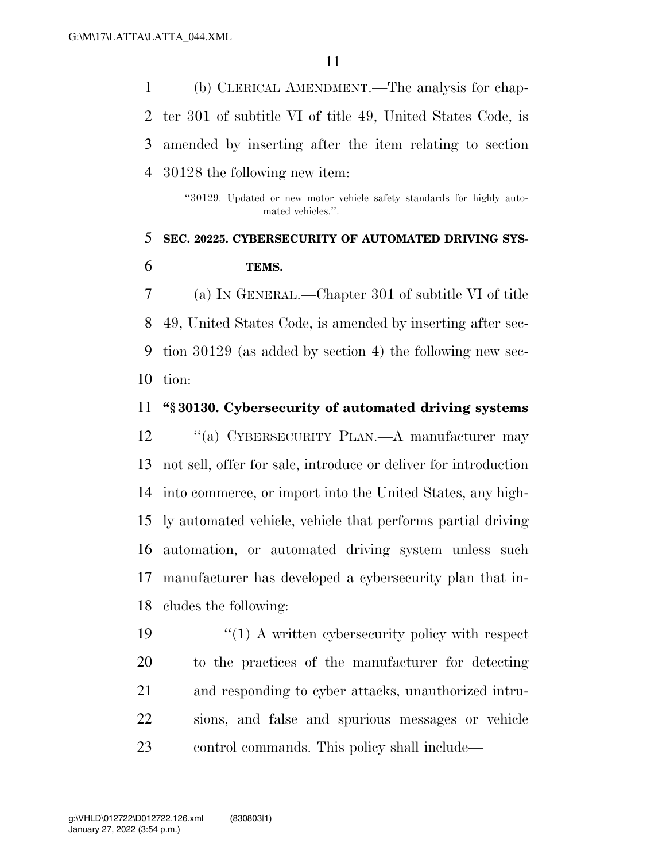(b) CLERICAL AMENDMENT.—The analysis for chap- ter 301 of subtitle VI of title 49, United States Code, is amended by inserting after the item relating to section 30128 the following new item:

> ''30129. Updated or new motor vehicle safety standards for highly automated vehicles.''.

### **SEC. 20225. CYBERSECURITY OF AUTOMATED DRIVING SYS-TEMS.**

 (a) IN GENERAL.—Chapter 301 of subtitle VI of title 49, United States Code, is amended by inserting after sec- tion 30129 (as added by section 4) the following new sec-tion:

### **''§ 30130. Cybersecurity of automated driving systems**

12 "(a) CYBERSECURITY PLAN.—A manufacturer may not sell, offer for sale, introduce or deliver for introduction into commerce, or import into the United States, any high- ly automated vehicle, vehicle that performs partial driving automation, or automated driving system unless such manufacturer has developed a cybersecurity plan that in-cludes the following:

19 ''(1) A written cybersecurity policy with respect to the practices of the manufacturer for detecting and responding to cyber attacks, unauthorized intru- sions, and false and spurious messages or vehicle control commands. This policy shall include—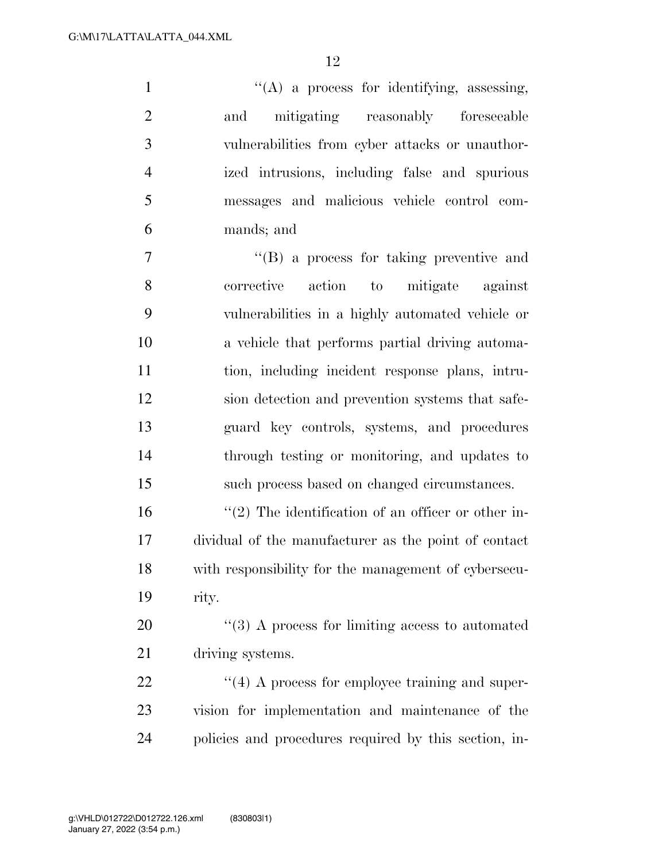1 ''(A) a process for identifying, assessing, and mitigating reasonably foreseeable vulnerabilities from cyber attacks or unauthor- ized intrusions, including false and spurious messages and malicious vehicle control com-mands; and

 ''(B) a process for taking preventive and corrective action to mitigate against vulnerabilities in a highly automated vehicle or a vehicle that performs partial driving automa- tion, including incident response plans, intru- sion detection and prevention systems that safe- guard key controls, systems, and procedures through testing or monitoring, and updates to such process based on changed circumstances.

 $\frac{16}{2}$  The identification of an officer or other in- dividual of the manufacturer as the point of contact with responsibility for the management of cybersecu-rity.

20  $\frac{1}{20}$  A process for limiting access to automated driving systems.

22  $\frac{4}{4}$  A process for employee training and super- vision for implementation and maintenance of the policies and procedures required by this section, in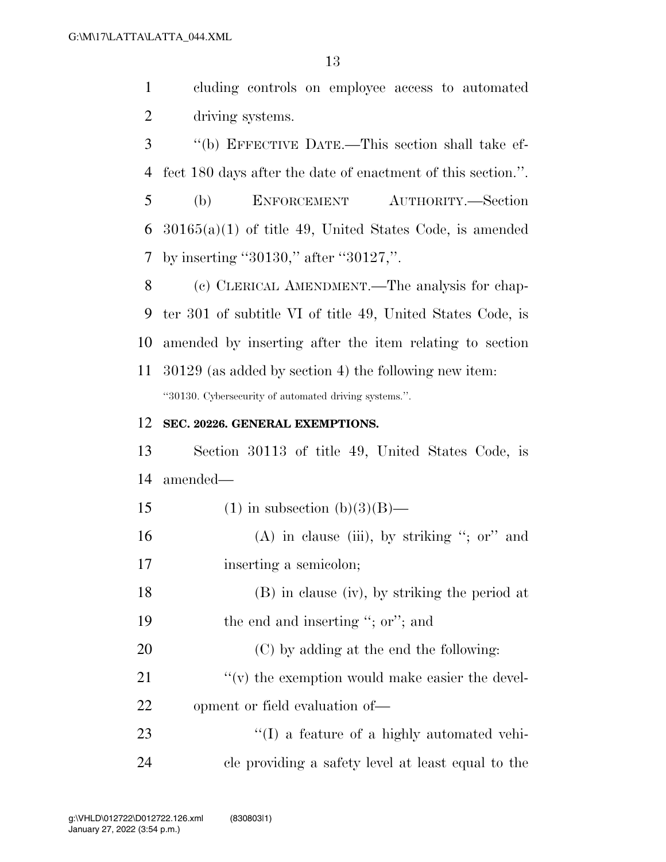cluding controls on employee access to automated driving systems.

 ''(b) EFFECTIVE DATE.—This section shall take ef- fect 180 days after the date of enactment of this section.''. (b) ENFORCEMENT AUTHORITY.—Section 30165(a)(1) of title 49, United States Code, is amended by inserting ''30130,'' after ''30127,''.

 (c) CLERICAL AMENDMENT.—The analysis for chap- ter 301 of subtitle VI of title 49, United States Code, is amended by inserting after the item relating to section 30129 (as added by section 4) the following new item: ''30130. Cybersecurity of automated driving systems.''.

#### **SEC. 20226. GENERAL EXEMPTIONS.**

 Section 30113 of title 49, United States Code, is amended—

- 15 (1) in subsection  $(b)(3)(B)$ —
- 16 (A) in clause (iii), by striking "; or" and inserting a semicolon;
- (B) in clause (iv), by striking the period at 19 the end and inserting "; or"; and
- (C) by adding at the end the following: 21  $\gamma$  (v) the exemption would make easier the devel-opment or field evaluation of—

23  $\langle (I) \rangle$  a feature of a highly automated vehi-cle providing a safety level at least equal to the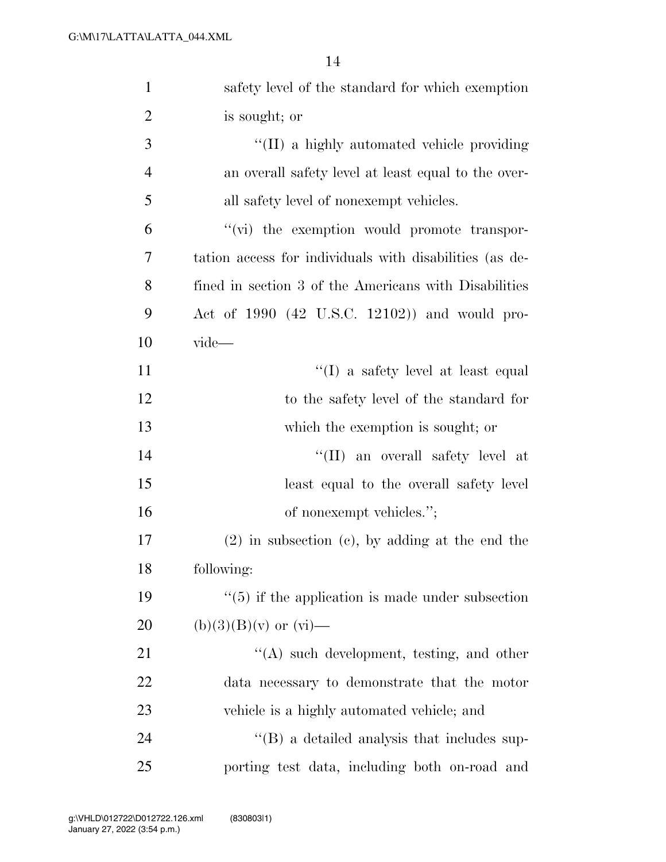| $\mathbf{1}$   | safety level of the standard for which exemption        |
|----------------|---------------------------------------------------------|
| $\overline{2}$ | is sought; or                                           |
| 3              | "(II) a highly automated vehicle providing              |
| $\overline{4}$ | an overall safety level at least equal to the over-     |
| 5              | all safety level of nonexempt vehicles.                 |
| 6              | "(vi) the exemption would promote transpor-             |
| 7              | tation access for individuals with disabilities (as de- |
| 8              | fined in section 3 of the Americans with Disabilities   |
| 9              | Act of $1990$ (42 U.S.C. 12102)) and would pro-         |
| 10             | $\dot{\mathrm{video}}$                                  |
| 11             | $\lq\lq$ a safety level at least equal                  |
| 12             | to the safety level of the standard for                 |
| 13             | which the exemption is sought; or                       |
| 14             | "(II) an overall safety level at                        |
| 15             | least equal to the overall safety level                 |
| 16             | of nonexempt vehicles.";                                |
| 17             | $(2)$ in subsection $(e)$ , by adding at the end the    |
| 18             | following:                                              |
| 19             | $\lq(5)$ if the application is made under subsection    |
| 20             | $(b)(3)(B)(v)$ or $(vi)$ —                              |
| 21             | $\lq\lq$ such development, testing, and other           |
| 22             | data necessary to demonstrate that the motor            |
| 23             | vehicle is a highly automated vehicle; and              |
| 24             | $\lq\lq$ (B) a detailed analysis that includes sup-     |
| 25             | porting test data, including both on-road and           |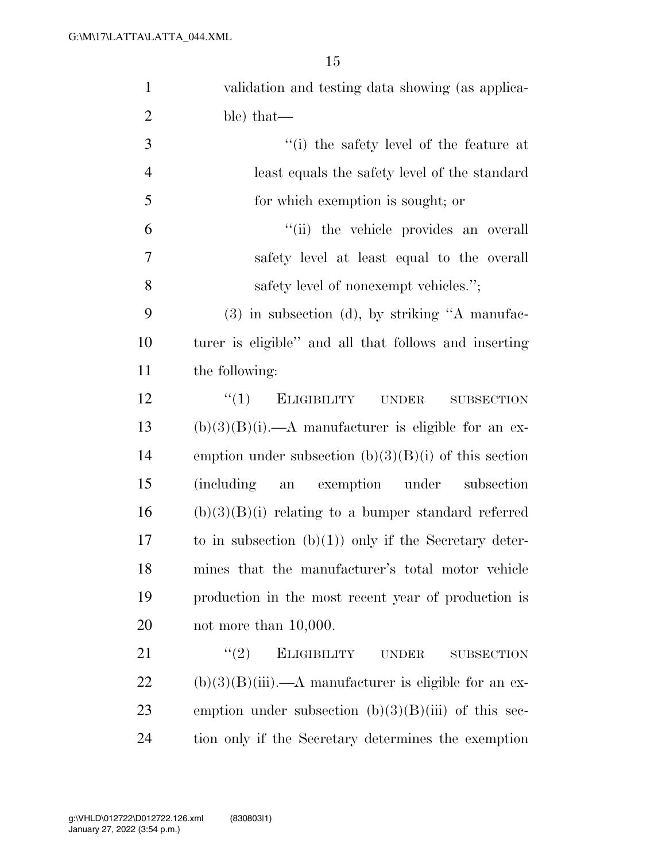| $\mathbf{1}$   | validation and testing data showing (as applica-                 |
|----------------|------------------------------------------------------------------|
| $\overline{2}$ | ble) that—                                                       |
| 3              | "(i) the safety level of the feature at                          |
| $\overline{4}$ | least equals the safety level of the standard                    |
| 5              | for which exemption is sought; or                                |
| 6              | "(ii) the vehicle provides an overall                            |
| $\tau$         | safety level at least equal to the overall                       |
| 8              | safety level of nonexempt vehicles.";                            |
| 9              | $(3)$ in subsection $(d)$ , by striking "A manufac-              |
| 10             | turer is eligible" and all that follows and inserting            |
| 11             | the following:                                                   |
| 12             | ``(1)<br><b>ELIGIBILITY</b><br><b>UNDER</b><br><b>SUBSECTION</b> |
| 13             | $(b)(3)(B)(i)$ .—A manufacturer is eligible for an ex-           |
| 14             | emption under subsection $(b)(3)(B)(i)$ of this section          |
| 15             | exemption under<br><i>(including)</i><br>subsection<br>an        |
| 16             | $(b)(3)(B)(i)$ relating to a bumper standard referred            |
| 17             | to in subsection $(b)(1)$ only if the Secretary deter-           |
| 18             | mines that the manufacturer's total motor vehicle                |
| 19             | production in the most recent year of production is              |
| 20             | not more than $10,000$ .                                         |
| 21             | (2)<br><b>ELIGIBILITY</b><br><b>UNDER</b><br><b>SUBSECTION</b>   |
| 22             | $(b)(3)(B)(iii)$ .—A manufacturer is eligible for an ex-         |
| 23             | emption under subsection $(b)(3)(B)(iii)$ of this sec-           |
| 24             | tion only if the Secretary determines the exemption              |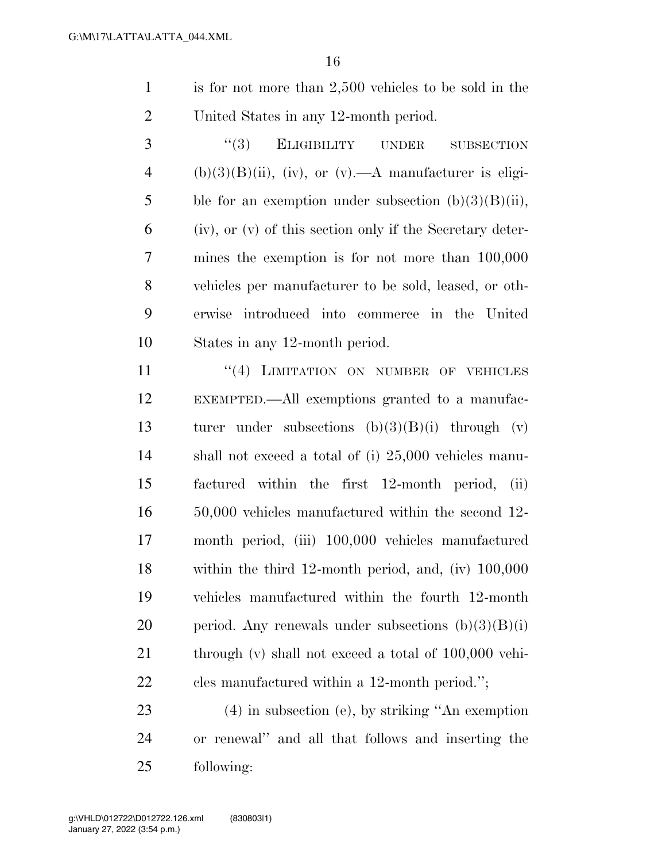- is for not more than 2,500 vehicles to be sold in the United States in any 12-month period.
- 3 "(3) ELIGIBILITY UNDER SUBSECTION 4 (b)(3)(B)(ii), (iv), or (v).—A manufacturer is eligi-5 ble for an exemption under subsection  $(b)(3)(B)(ii)$ , (iv), or (v) of this section only if the Secretary deter- mines the exemption is for not more than 100,000 vehicles per manufacturer to be sold, leased, or oth- erwise introduced into commerce in the United States in any 12-month period.

11 ''(4) LIMITATION ON NUMBER OF VEHICLES EXEMPTED.—All exemptions granted to a manufac- turer under subsections (b)(3)(B)(i) through (v) shall not exceed a total of (i) 25,000 vehicles manu- factured within the first 12-month period, (ii) 50,000 vehicles manufactured within the second 12- month period, (iii) 100,000 vehicles manufactured within the third 12-month period, and, (iv) 100,000 vehicles manufactured within the fourth 12-month 20 period. Any renewals under subsections  $(b)(3)(B)(i)$ 21 through (v) shall not exceed a total of 100,000 vehi-cles manufactured within a 12-month period.'';

 (4) in subsection (e), by striking ''An exemption or renewal'' and all that follows and inserting the following: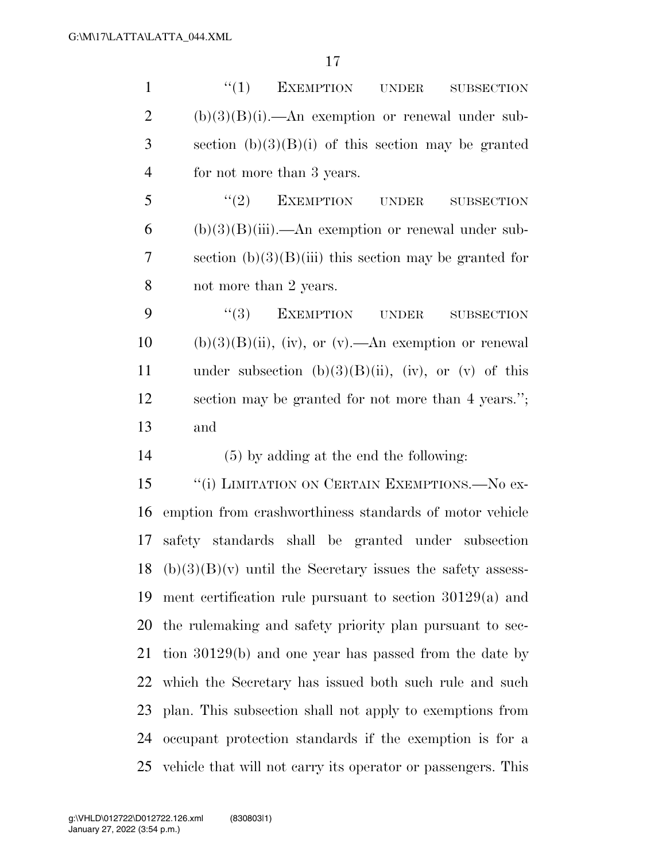| $\mathbf{1}$   | ``(1)<br><b>EXEMPTION</b><br><b>UNDER</b><br><b>SUBSECTION</b> |
|----------------|----------------------------------------------------------------|
| $\overline{2}$ | $(b)(3)(B)(i)$ .—An exemption or renewal under sub-            |
| 3              | section $(b)(3)(B)(i)$ of this section may be granted          |
| $\overline{4}$ | for not more than 3 years.                                     |
| 5              | $``(2)$ EXEMPTION UNDER<br><b>SUBSECTION</b>                   |
| 6              | $(b)(3)(B)(iii)$ .—An exemption or renewal under sub-          |
| $\overline{7}$ | section $(b)(3)(B)(iii)$ this section may be granted for       |
| 8              | not more than 2 years.                                         |
| 9              | (3)<br>EXEMPTION UNDER<br><b>SUBSECTION</b>                    |
| 10             | $(b)(3)(B)(ii)$ , (iv), or (v).—An exemption or renewal        |
| 11             | under subsection $(b)(3)(B)(ii)$ , $(iv)$ , or $(v)$ of this   |
| 12             | section may be granted for not more than 4 years.";            |
|                |                                                                |
| 13             | and                                                            |
| 14             | (5) by adding at the end the following:                        |
| 15             | "(i) LIMITATION ON CERTAIN EXEMPTIONS.—No ex-                  |
| 16             | emption from crashworthiness standards of motor vehicle        |
| 17             | safety standards shall be granted under subsection             |
| 18             | $(b)(3)(B)(v)$ until the Secretary issues the safety assess-   |
| 19             | ment certification rule pursuant to section $30129(a)$ and     |
| 20             | the rule making and safety priority plan pursuant to sec-      |
| 21             | tion 30129(b) and one year has passed from the date by         |
| 22             | which the Secretary has issued both such rule and such         |
| 23             | plan. This subsection shall not apply to exemptions from       |
| 24             | occupant protection standards if the exemption is for a        |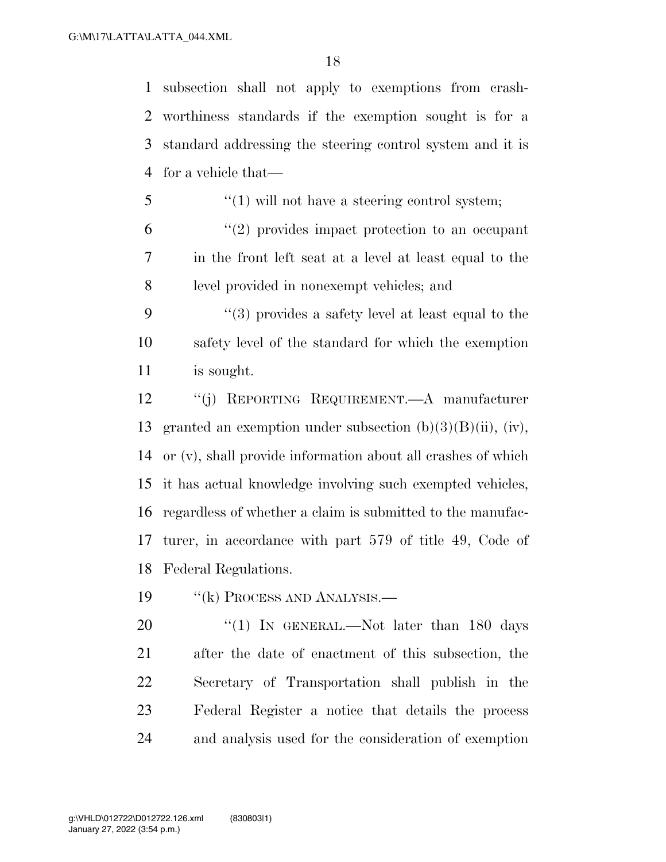subsection shall not apply to exemptions from crash- worthiness standards if the exemption sought is for a standard addressing the steering control system and it is for a vehicle that—

- ''(1) will not have a steering control system;
- ''(2) provides impact protection to an occupant in the front left seat at a level at least equal to the level provided in nonexempt vehicles; and
- ''(3) provides a safety level at least equal to the safety level of the standard for which the exemption is sought.

 ''(j) REPORTING REQUIREMENT.—A manufacturer granted an exemption under subsection (b)(3)(B)(ii), (iv), or (v), shall provide information about all crashes of which it has actual knowledge involving such exempted vehicles, regardless of whether a claim is submitted to the manufac- turer, in accordance with part 579 of title 49, Code of Federal Regulations.

19 "(k) PROCESS AND ANALYSIS.—

20 "(1) In GENERAL.—Not later than 180 days after the date of enactment of this subsection, the Secretary of Transportation shall publish in the Federal Register a notice that details the process and analysis used for the consideration of exemption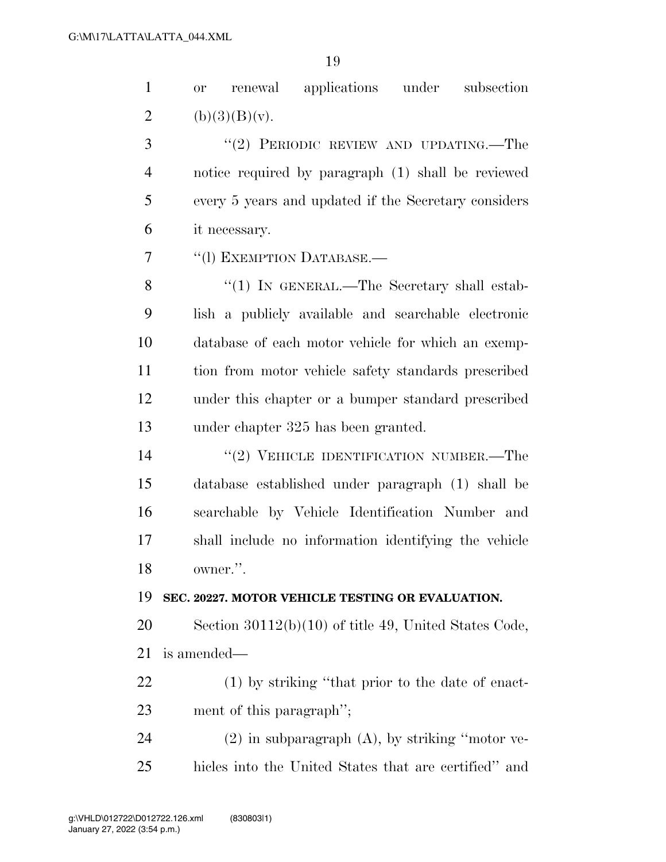| $\mathbf{1}$   | applications under subsection<br>renewal<br><b>or</b>   |
|----------------|---------------------------------------------------------|
| $\overline{2}$ | (b)(3)(B)(v).                                           |
| 3              | "(2) PERIODIC REVIEW AND UPDATING.—The                  |
| $\overline{4}$ | notice required by paragraph (1) shall be reviewed      |
| 5              | every 5 years and updated if the Secretary considers    |
| 6              | it necessary.                                           |
| 7              | "(1) EXEMPTION DATABASE.-                               |
| 8              | "(1) IN GENERAL.—The Secretary shall estab-             |
| 9              | lish a publicly available and searchable electronic     |
| 10             | database of each motor vehicle for which an exemp-      |
| 11             | tion from motor vehicle safety standards prescribed     |
| 12             | under this chapter or a bumper standard prescribed      |
| 13             | under chapter 325 has been granted.                     |
| 14             | "(2) VEHICLE IDENTIFICATION NUMBER.—The                 |
| 15             | database established under paragraph (1) shall be       |
| 16             | searchable by Vehicle Identification Number and         |
| 17             | shall include no information identifying the vehicle    |
| 18             | owner.".                                                |
| 19             | SEC. 20227. MOTOR VEHICLE TESTING OR EVALUATION.        |
| 20             | Section $30112(b)(10)$ of title 49, United States Code, |
| 21             | is amended—                                             |
| 22             | (1) by striking "that prior to the date of enact-       |
| 23             | ment of this paragraph";                                |
| 24             | $(2)$ in subparagraph $(A)$ , by striking "motor ve-    |
| 25             | hicles into the United States that are certified" and   |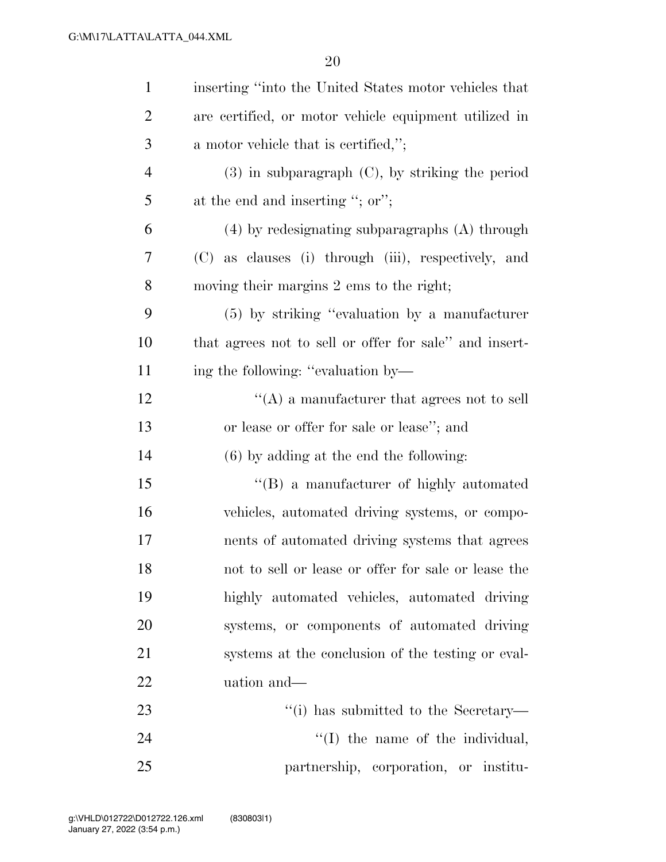| $\mathbf{1}$   | inserting "into the United States motor vehicles that  |
|----------------|--------------------------------------------------------|
| $\overline{2}$ | are certified, or motor vehicle equipment utilized in  |
| 3              | a motor vehicle that is certified,";                   |
| $\overline{4}$ | $(3)$ in subparagraph $(C)$ , by striking the period   |
| 5              | at the end and inserting "; or";                       |
| 6              | $(4)$ by redesignating subparagraphs $(A)$ through     |
| 7              | (C) as clauses (i) through (iii), respectively, and    |
| 8              | moving their margins 2 ems to the right;               |
| 9              | $(5)$ by striking "evaluation by a manufacturer"       |
| 10             | that agrees not to sell or offer for sale" and insert- |
| 11             | ing the following: "evaluation by—                     |
| 12             | $\lq\lq$ a manufacturer that agrees not to sell        |
| 13             | or lease or offer for sale or lease"; and              |
| 14             | $(6)$ by adding at the end the following:              |
| 15             | "(B) a manufacturer of highly automated                |
| 16             | vehicles, automated driving systems, or compo-         |
| 17             | nents of automated driving systems that agrees         |
| 18             | not to sell or lease or offer for sale or lease the    |
| 19             | highly automated vehicles, automated driving           |
| 20             | systems, or components of automated driving            |
| 21             | systems at the conclusion of the testing or eval-      |
| 22             | uation and—                                            |
| 23             | "(i) has submitted to the Secretary—                   |
| 24             | $\lq\lq$ the name of the individual,                   |
| 25             | partnership, corporation, or institu-                  |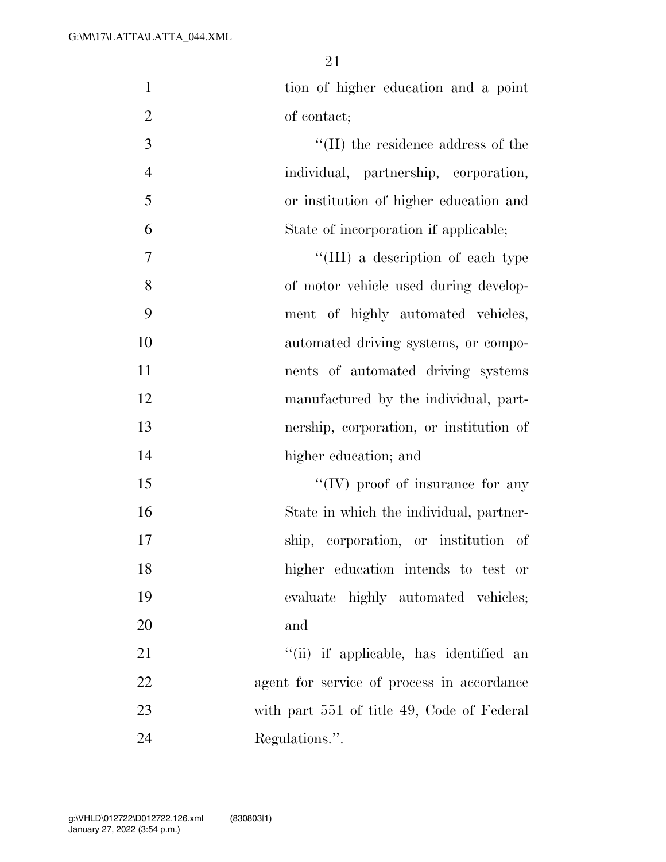| $\mathbf{1}$   | tion of higher education and a point       |
|----------------|--------------------------------------------|
| $\mathfrak{2}$ | of contact;                                |
| 3              | $\lq\lq$ (II) the residence address of the |
| $\overline{4}$ | individual, partnership, corporation,      |
| 5              | or institution of higher education and     |
| 6              | State of incorporation if applicable;      |
| 7              | "(III) a description of each type          |
| 8              | of motor vehicle used during develop-      |
| 9              | ment of highly automated vehicles,         |
| 10             | automated driving systems, or compo-       |
| 11             | nents of automated driving systems         |
| 12             | manufactured by the individual, part-      |
| 13             | nership, corporation, or institution of    |
| 14             | higher education; and                      |
| 15             | $\lq\lq$ (IV) proof of insurance for any   |
| 16             | State in which the individual, partner-    |
| 17             | ship, corporation, or institution of       |
| 18             | higher education intends to test or        |
| 19             | evaluate highly automated vehicles;        |
| 20             | and                                        |
| 21             | "(ii) if applicable, has identified an     |
| 22             | agent for service of process in accordance |
| 23             | with part 551 of title 49, Code of Federal |
| 24             | Regulations.".                             |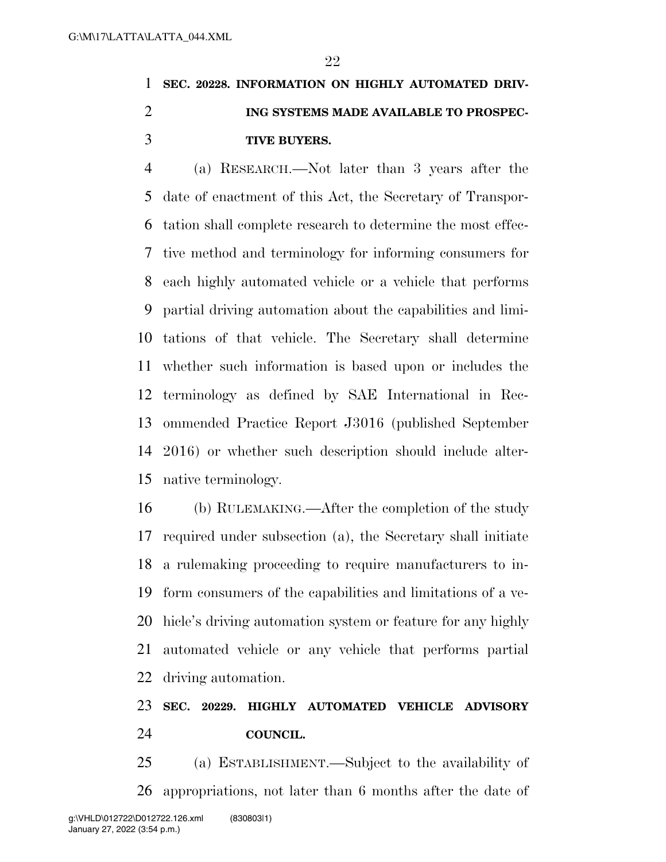# **SEC. 20228. INFORMATION ON HIGHLY AUTOMATED DRIV- ING SYSTEMS MADE AVAILABLE TO PROSPEC-TIVE BUYERS.**

 (a) RESEARCH.—Not later than 3 years after the date of enactment of this Act, the Secretary of Transpor- tation shall complete research to determine the most effec- tive method and terminology for informing consumers for each highly automated vehicle or a vehicle that performs partial driving automation about the capabilities and limi- tations of that vehicle. The Secretary shall determine whether such information is based upon or includes the terminology as defined by SAE International in Rec- ommended Practice Report J3016 (published September 2016) or whether such description should include alter-native terminology.

 (b) RULEMAKING.—After the completion of the study required under subsection (a), the Secretary shall initiate a rulemaking proceeding to require manufacturers to in- form consumers of the capabilities and limitations of a ve- hicle's driving automation system or feature for any highly automated vehicle or any vehicle that performs partial driving automation.

### **SEC. 20229. HIGHLY AUTOMATED VEHICLE ADVISORY COUNCIL.**

 (a) ESTABLISHMENT.—Subject to the availability of appropriations, not later than 6 months after the date of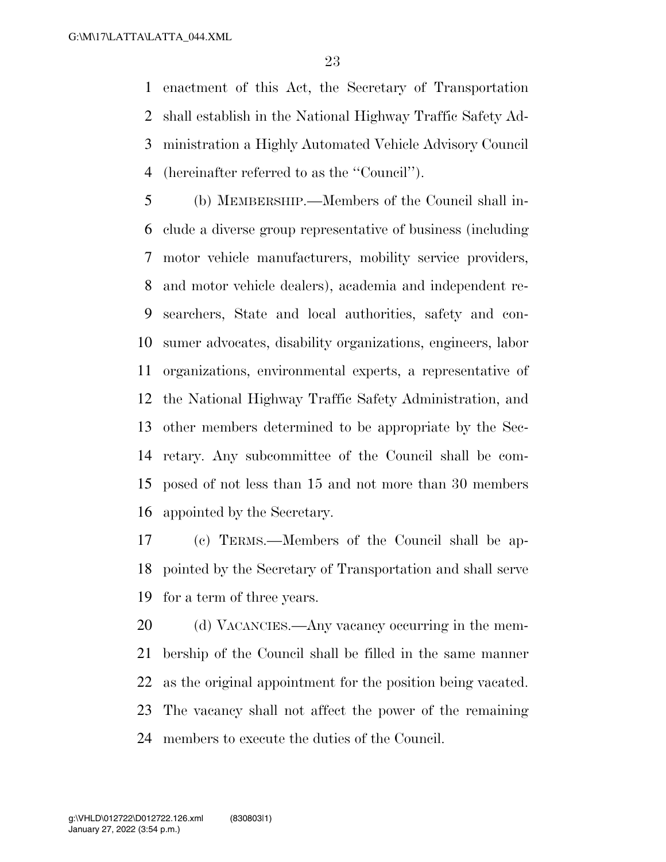enactment of this Act, the Secretary of Transportation shall establish in the National Highway Traffic Safety Ad- ministration a Highly Automated Vehicle Advisory Council (hereinafter referred to as the ''Council'').

 (b) MEMBERSHIP.—Members of the Council shall in- clude a diverse group representative of business (including motor vehicle manufacturers, mobility service providers, and motor vehicle dealers), academia and independent re- searchers, State and local authorities, safety and con- sumer advocates, disability organizations, engineers, labor organizations, environmental experts, a representative of the National Highway Traffic Safety Administration, and other members determined to be appropriate by the Sec- retary. Any subcommittee of the Council shall be com- posed of not less than 15 and not more than 30 members appointed by the Secretary.

 (c) TERMS.—Members of the Council shall be ap- pointed by the Secretary of Transportation and shall serve for a term of three years.

20 (d) VACANCIES.—Any vacancy occurring in the mem- bership of the Council shall be filled in the same manner as the original appointment for the position being vacated. The vacancy shall not affect the power of the remaining members to execute the duties of the Council.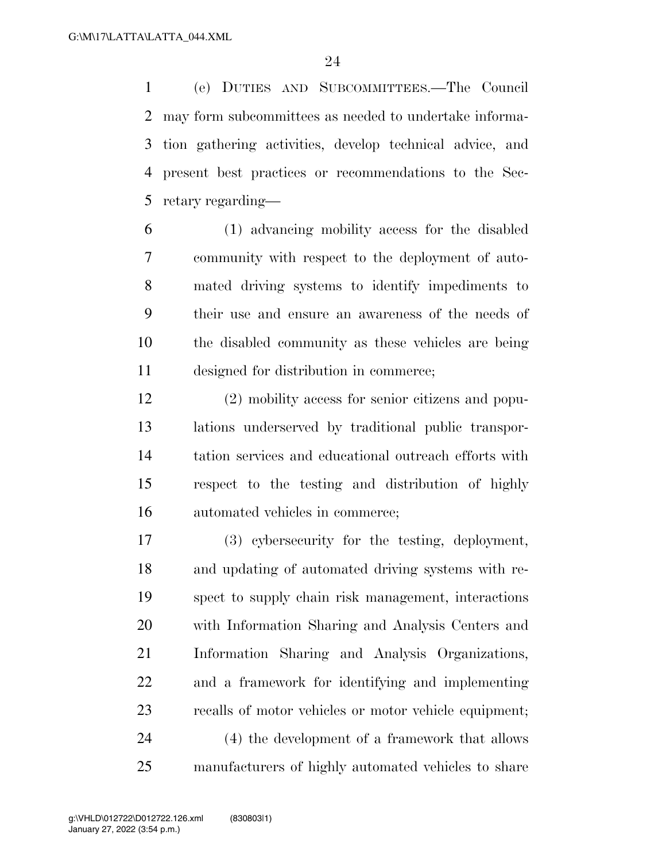(e) DUTIES AND SUBCOMMITTEES.—The Council may form subcommittees as needed to undertake informa- tion gathering activities, develop technical advice, and present best practices or recommendations to the Sec-retary regarding—

 (1) advancing mobility access for the disabled community with respect to the deployment of auto- mated driving systems to identify impediments to their use and ensure an awareness of the needs of the disabled community as these vehicles are being designed for distribution in commerce;

 (2) mobility access for senior citizens and popu- lations underserved by traditional public transpor- tation services and educational outreach efforts with respect to the testing and distribution of highly automated vehicles in commerce;

 (3) cybersecurity for the testing, deployment, and updating of automated driving systems with re- spect to supply chain risk management, interactions with Information Sharing and Analysis Centers and Information Sharing and Analysis Organizations, and a framework for identifying and implementing recalls of motor vehicles or motor vehicle equipment; (4) the development of a framework that allows manufacturers of highly automated vehicles to share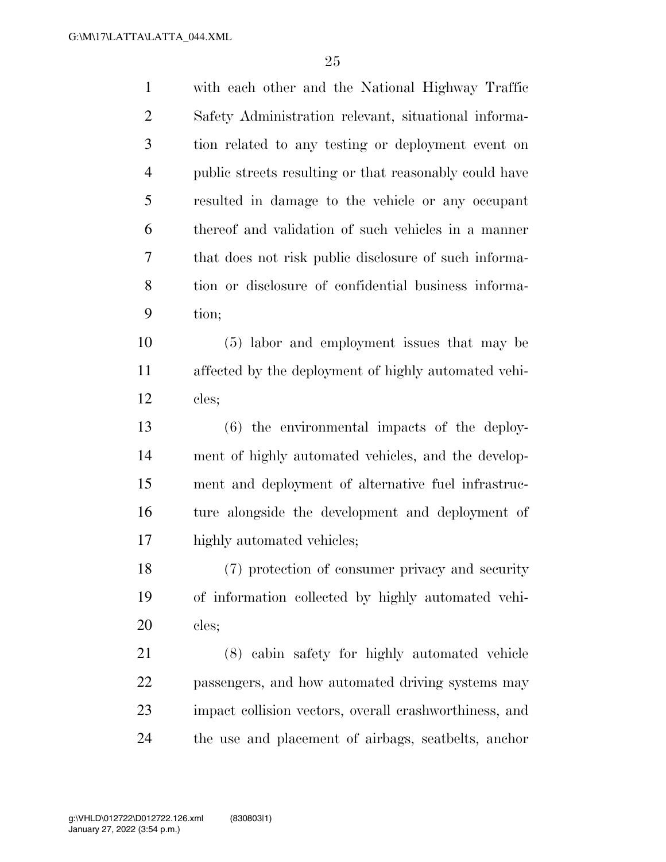| $\mathbf{1}$   | with each other and the National Highway Traffic       |
|----------------|--------------------------------------------------------|
| $\overline{2}$ | Safety Administration relevant, situational informa-   |
| 3              | tion related to any testing or deployment event on     |
| $\overline{4}$ | public streets resulting or that reasonably could have |
| 5              | resulted in damage to the vehicle or any occupant      |
| 6              | thereof and validation of such vehicles in a manner    |
| 7              | that does not risk public disclosure of such informa-  |
| 8              | tion or disclosure of confidential business informa-   |
| 9              | tion;                                                  |
| 10             | (5) labor and employment issues that may be            |
| 11             | affected by the deployment of highly automated vehi-   |
| 12             | cles;                                                  |
| 13             | $(6)$ the environmental impacts of the deploy-         |
| 14             | ment of highly automated vehicles, and the develop-    |
| 15             | ment and deployment of alternative fuel infrastruc-    |
| 16             | ture alongside the development and deployment of       |
| 17             | highly automated vehicles;                             |
| 18             | (7) protection of consumer privacy and security        |
| 19             | of information collected by highly automated vehi-     |
| 20             | cles;                                                  |
| 21             | (8) cabin safety for highly automated vehicle          |
| 22             | passengers, and how automated driving systems may      |
| 23             | impact collision vectors, overall crashworthiness, and |
| 24             |                                                        |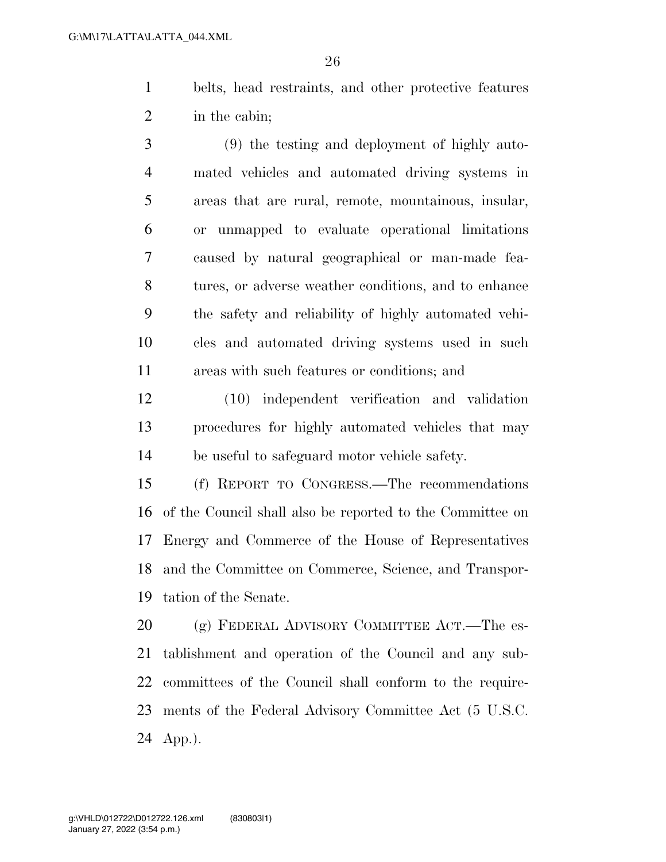belts, head restraints, and other protective features in the cabin;

 (9) the testing and deployment of highly auto- mated vehicles and automated driving systems in areas that are rural, remote, mountainous, insular, or unmapped to evaluate operational limitations caused by natural geographical or man-made fea- tures, or adverse weather conditions, and to enhance the safety and reliability of highly automated vehi- cles and automated driving systems used in such areas with such features or conditions; and

 (10) independent verification and validation procedures for highly automated vehicles that may be useful to safeguard motor vehicle safety.

 (f) REPORT TO CONGRESS.—The recommendations of the Council shall also be reported to the Committee on Energy and Commerce of the House of Representatives and the Committee on Commerce, Science, and Transpor-tation of the Senate.

20 (g) FEDERAL ADVISORY COMMITTEE ACT.—The es- tablishment and operation of the Council and any sub- committees of the Council shall conform to the require- ments of the Federal Advisory Committee Act (5 U.S.C. App.).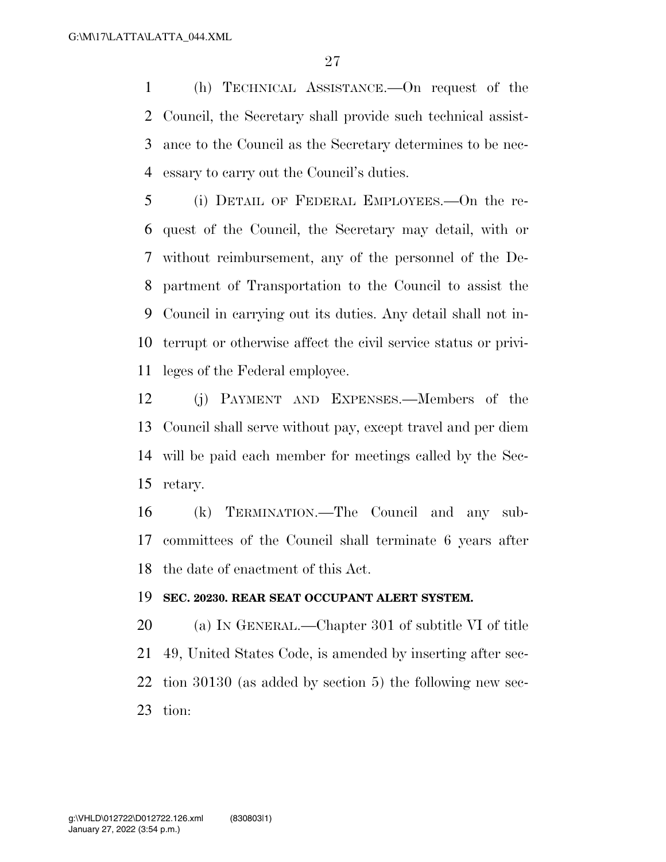(h) TECHNICAL ASSISTANCE.—On request of the Council, the Secretary shall provide such technical assist- ance to the Council as the Secretary determines to be nec-essary to carry out the Council's duties.

 (i) DETAIL OF FEDERAL EMPLOYEES.—On the re- quest of the Council, the Secretary may detail, with or without reimbursement, any of the personnel of the De- partment of Transportation to the Council to assist the Council in carrying out its duties. Any detail shall not in- terrupt or otherwise affect the civil service status or privi-leges of the Federal employee.

 (j) PAYMENT AND EXPENSES.—Members of the Council shall serve without pay, except travel and per diem will be paid each member for meetings called by the Sec-retary.

 (k) TERMINATION.—The Council and any sub- committees of the Council shall terminate 6 years after the date of enactment of this Act.

#### **SEC. 20230. REAR SEAT OCCUPANT ALERT SYSTEM.**

 (a) IN GENERAL.—Chapter 301 of subtitle VI of title 49, United States Code, is amended by inserting after sec- tion 30130 (as added by section 5) the following new sec-tion: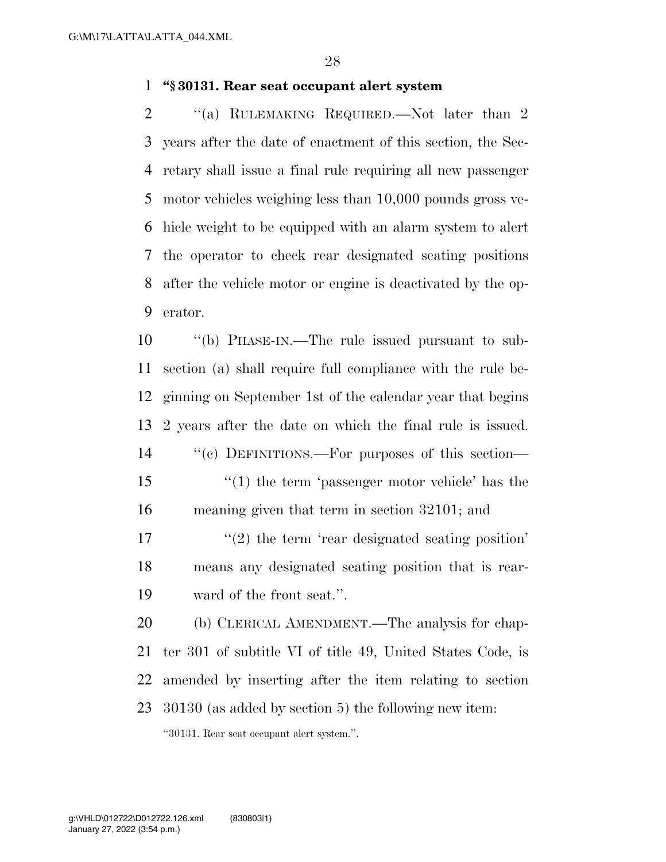### **''§ 30131. Rear seat occupant alert system**

2 "(a) RULEMAKING REQUIRED.—Not later than 2 years after the date of enactment of this section, the Sec- retary shall issue a final rule requiring all new passenger motor vehicles weighing less than 10,000 pounds gross ve- hicle weight to be equipped with an alarm system to alert the operator to check rear designated seating positions after the vehicle motor or engine is deactivated by the op-erator.

 ''(b) PHASE-IN.—The rule issued pursuant to sub- section (a) shall require full compliance with the rule be- ginning on September 1st of the calendar year that begins 2 years after the date on which the final rule is issued. ''(c) DEFINITIONS.—For purposes of this section— ''(1) the term 'passenger motor vehicle' has the meaning given that term in section 32101; and 17 ''(2) the term 'rear designated seating position' means any designated seating position that is rear- ward of the front seat.''. (b) CLERICAL AMENDMENT.—The analysis for chap-ter 301 of subtitle VI of title 49, United States Code, is

 amended by inserting after the item relating to section 30130 (as added by section 5) the following new item:

''30131. Rear seat occupant alert system.''.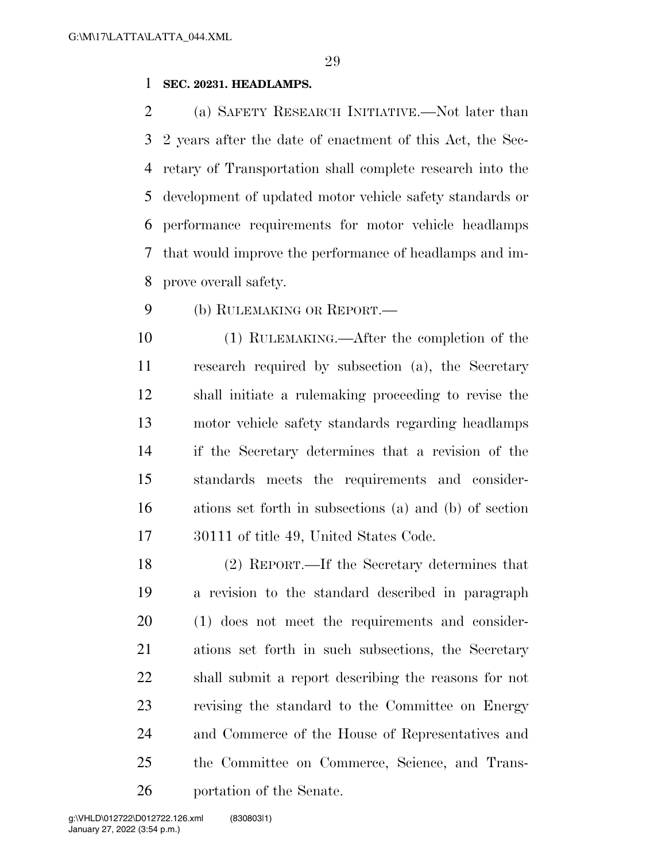### **SEC. 20231. HEADLAMPS.**

 (a) SAFETY RESEARCH INITIATIVE.—Not later than 2 years after the date of enactment of this Act, the Sec- retary of Transportation shall complete research into the development of updated motor vehicle safety standards or performance requirements for motor vehicle headlamps that would improve the performance of headlamps and im-prove overall safety.

(b) RULEMAKING OR REPORT.—

 (1) RULEMAKING.—After the completion of the research required by subsection (a), the Secretary shall initiate a rulemaking proceeding to revise the motor vehicle safety standards regarding headlamps if the Secretary determines that a revision of the standards meets the requirements and consider- ations set forth in subsections (a) and (b) of section 30111 of title 49, United States Code.

 (2) REPORT.—If the Secretary determines that a revision to the standard described in paragraph (1) does not meet the requirements and consider- ations set forth in such subsections, the Secretary shall submit a report describing the reasons for not revising the standard to the Committee on Energy and Commerce of the House of Representatives and the Committee on Commerce, Science, and Trans-portation of the Senate.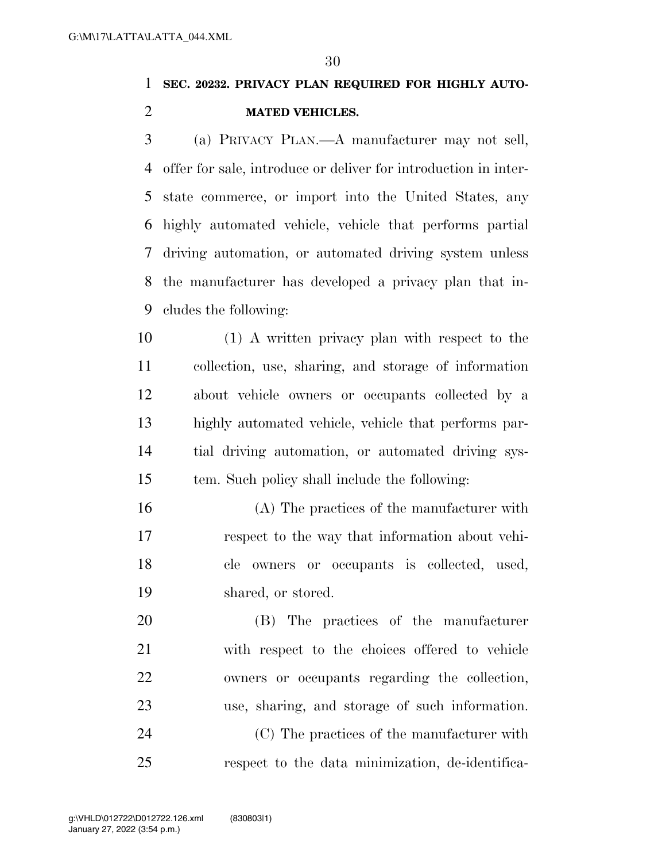### **SEC. 20232. PRIVACY PLAN REQUIRED FOR HIGHLY AUTO-MATED VEHICLES.**

 (a) PRIVACY PLAN.—A manufacturer may not sell, offer for sale, introduce or deliver for introduction in inter- state commerce, or import into the United States, any highly automated vehicle, vehicle that performs partial driving automation, or automated driving system unless the manufacturer has developed a privacy plan that in-cludes the following:

 (1) A written privacy plan with respect to the collection, use, sharing, and storage of information about vehicle owners or occupants collected by a highly automated vehicle, vehicle that performs par- tial driving automation, or automated driving sys-tem. Such policy shall include the following:

 (A) The practices of the manufacturer with respect to the way that information about vehi- cle owners or occupants is collected, used, shared, or stored.

 (B) The practices of the manufacturer with respect to the choices offered to vehicle owners or occupants regarding the collection, use, sharing, and storage of such information.

 (C) The practices of the manufacturer with respect to the data minimization, de-identifica-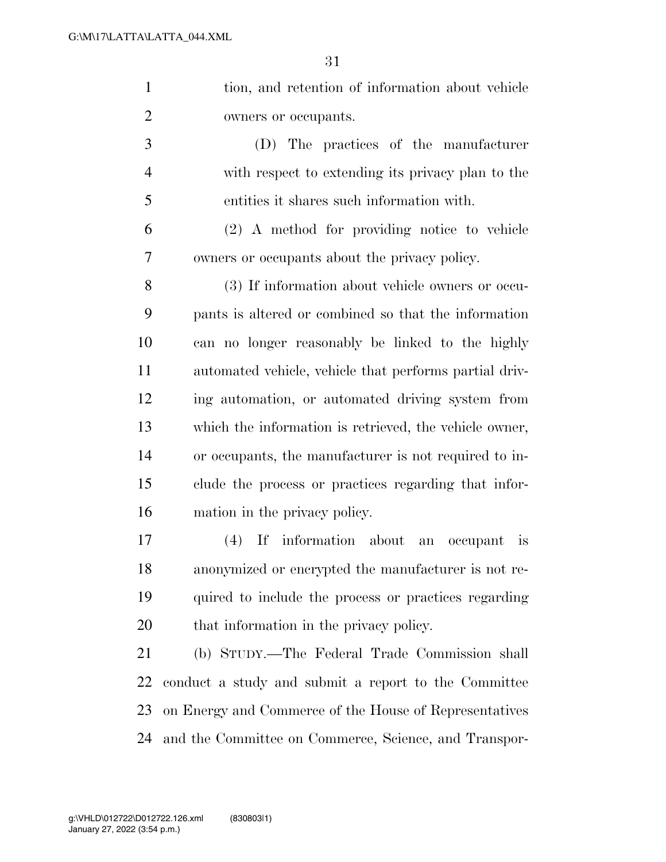tion, and retention of information about vehicle owners or occupants.

 (D) The practices of the manufacturer with respect to extending its privacy plan to the entities it shares such information with.

 (2) A method for providing notice to vehicle owners or occupants about the privacy policy.

 (3) If information about vehicle owners or occu- pants is altered or combined so that the information can no longer reasonably be linked to the highly automated vehicle, vehicle that performs partial driv- ing automation, or automated driving system from which the information is retrieved, the vehicle owner, or occupants, the manufacturer is not required to in- clude the process or practices regarding that infor-mation in the privacy policy.

 (4) If information about an occupant is anonymized or encrypted the manufacturer is not re- quired to include the process or practices regarding that information in the privacy policy.

 (b) STUDY.—The Federal Trade Commission shall conduct a study and submit a report to the Committee on Energy and Commerce of the House of Representatives and the Committee on Commerce, Science, and Transpor-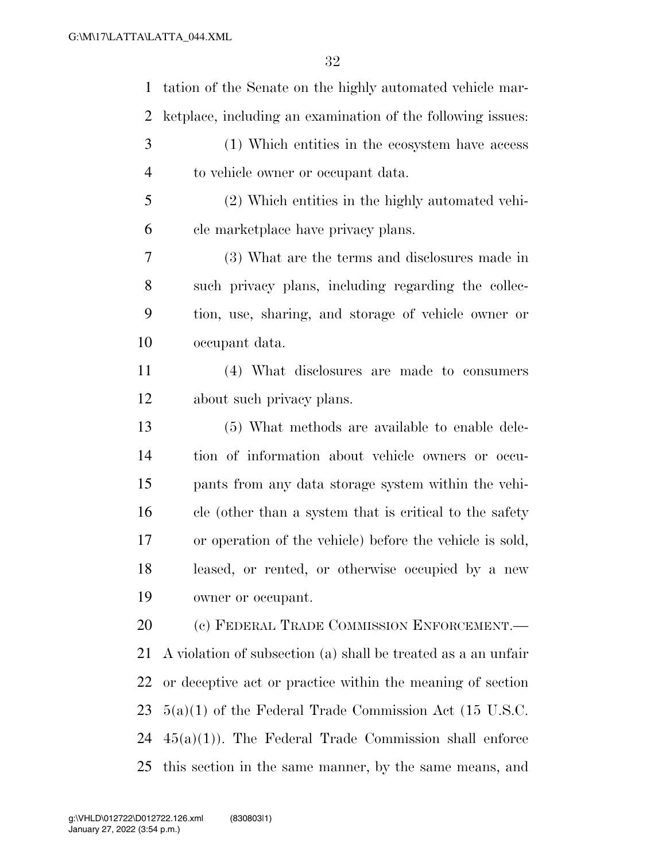tation of the Senate on the highly automated vehicle mar- ketplace, including an examination of the following issues: (1) Which entities in the ecosystem have access to vehicle owner or occupant data. (2) Which entities in the highly automated vehi- cle marketplace have privacy plans. (3) What are the terms and disclosures made in such privacy plans, including regarding the collec- tion, use, sharing, and storage of vehicle owner or occupant data. (4) What disclosures are made to consumers about such privacy plans. (5) What methods are available to enable dele- tion of information about vehicle owners or occu- pants from any data storage system within the vehi- cle (other than a system that is critical to the safety or operation of the vehicle) before the vehicle is sold, leased, or rented, or otherwise occupied by a new owner or occupant. 20 (c) FEDERAL TRADE COMMISSION ENFORCEMENT. A violation of subsection (a) shall be treated as a an unfair or deceptive act or practice within the meaning of section 5(a)(1) of the Federal Trade Commission Act (15 U.S.C.  $45(a)(1)$ . The Federal Trade Commission shall enforce this section in the same manner, by the same means, and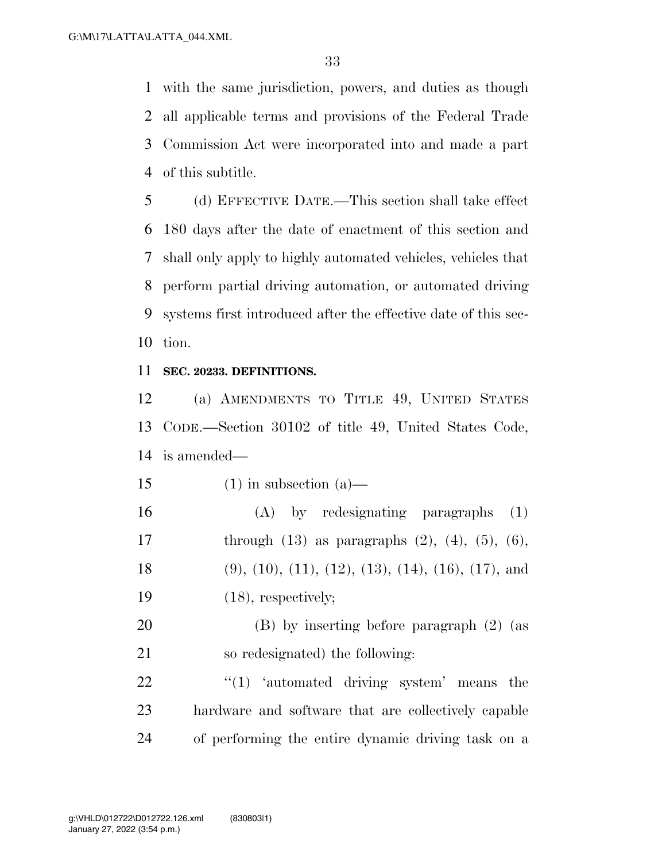with the same jurisdiction, powers, and duties as though all applicable terms and provisions of the Federal Trade Commission Act were incorporated into and made a part of this subtitle.

 (d) EFFECTIVE DATE.—This section shall take effect 180 days after the date of enactment of this section and shall only apply to highly automated vehicles, vehicles that perform partial driving automation, or automated driving systems first introduced after the effective date of this sec-tion.

### **SEC. 20233. DEFINITIONS.**

 (a) AMENDMENTS TO TITLE 49, UNITED STATES CODE.—Section 30102 of title 49, United States Code, is amended—

15 (1) in subsection (a)—

 (A) by redesignating paragraphs (1) 17 through  $(13)$  as paragraphs  $(2)$ ,  $(4)$ ,  $(5)$ ,  $(6)$ , (9), (10), (11), (12), (13), (14), (16), (17), and (18), respectively;

 (B) by inserting before paragraph (2) (as so redesignated) the following:

22 "(1) 'automated driving system' means the hardware and software that are collectively capable of performing the entire dynamic driving task on a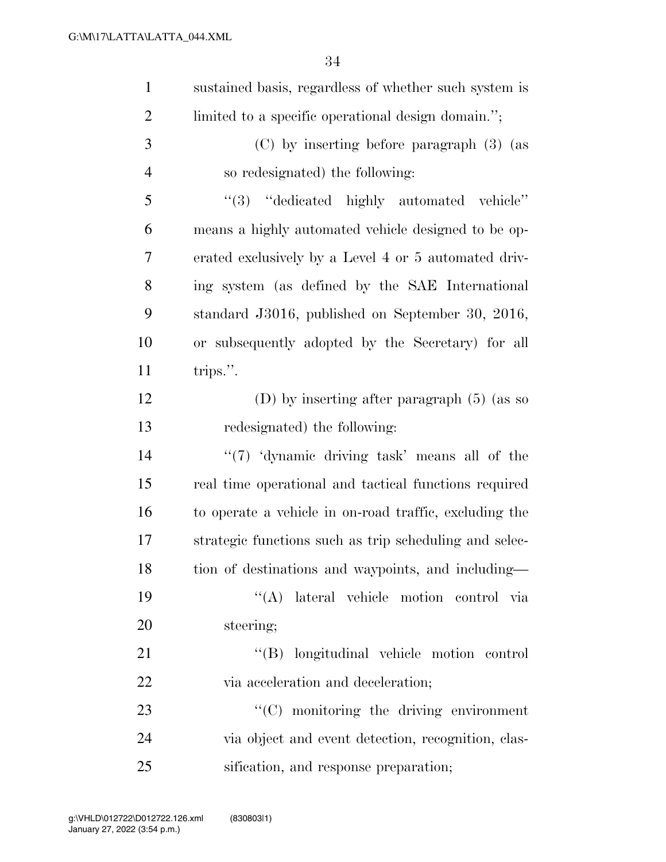| $\mathbf{1}$   | sustained basis, regardless of whether such system is  |
|----------------|--------------------------------------------------------|
| $\overline{2}$ | limited to a specific operational design domain.";     |
| 3              | (C) by inserting before paragraph (3) (as              |
| $\overline{4}$ | so redesignated) the following:                        |
| 5              | "(3) "dedicated highly automated vehicle"              |
| 6              | means a highly automated vehicle designed to be op-    |
| 7              | erated exclusively by a Level 4 or 5 automated driv-   |
| 8              | ing system (as defined by the SAE International        |
| 9              | standard J3016, published on September 30, 2016,       |
| 10             | or subsequently adopted by the Secretary) for all      |
| 11             | trips.".                                               |
| 12             | (D) by inserting after paragraph $(5)$ (as so          |
| 13             | redesignated) the following:                           |
| 14             | "(7) 'dynamic driving task' means all of the           |
| 15             | real time operational and tactical functions required  |
| 16             | to operate a vehicle in on-road traffic, excluding the |
| 17             | strategic functions such as trip scheduling and selec- |
| 18             | tion of destinations and waypoints, and including-     |
| 19             | "(A) lateral vehicle motion control via                |
| 20             | steering;                                              |
| 21             | "(B) longitudinal vehicle motion control               |
| 22             | via acceleration and deceleration;                     |
| 23             | "(C) monitoring the driving environment                |
| 24             | via object and event detection, recognition, clas-     |
| 25             | sification, and response preparation;                  |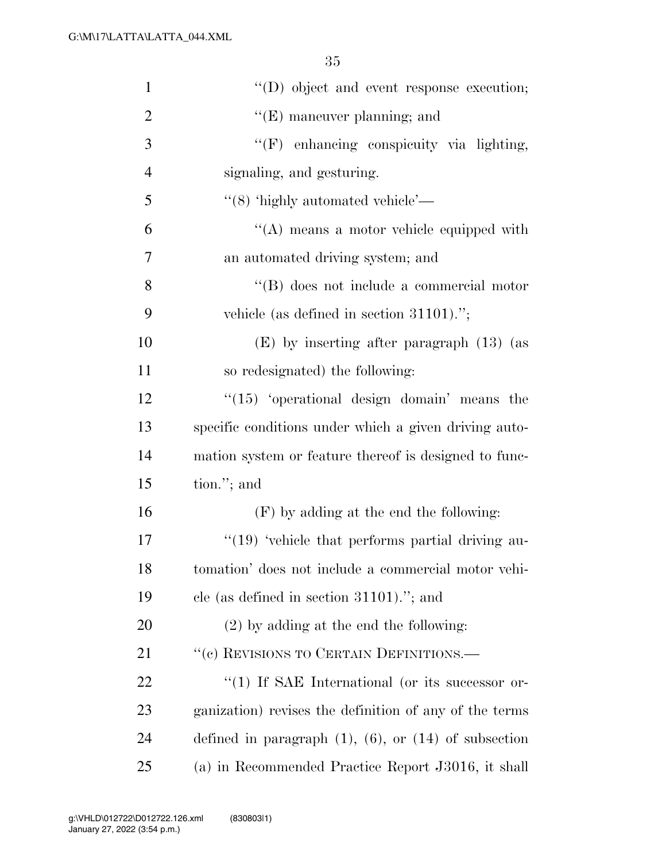| $\mathbf{1}$   | "(D) object and event response execution;                    |
|----------------|--------------------------------------------------------------|
| $\overline{2}$ | $\lq\lq(E)$ maneuver planning; and                           |
| 3              | "(F) enhancing conspicuity via lighting,                     |
| $\overline{4}$ | signaling, and gesturing.                                    |
| 5              | $\lq(8)$ 'highly automated vehicle'—                         |
| 6              | "(A) means a motor vehicle equipped with                     |
| 7              | an automated driving system; and                             |
| 8              | "(B) does not include a commercial motor                     |
| 9              | vehicle (as defined in section $31101$ ).";                  |
| 10             | $(E)$ by inserting after paragraph $(13)$ (as                |
| 11             | so redesignated) the following:                              |
| 12             | $\lq(15)$ 'operational design domain' means the              |
| 13             | specific conditions under which a given driving auto-        |
| 14             | mation system or feature thereof is designed to func-        |
| 15             | tion."; and                                                  |
| 16             | $(F)$ by adding at the end the following:                    |
| 17             | $\lq(19)$ 'vehicle that performs partial driving au-         |
| 18             | tomation' does not include a commercial motor vehi-          |
| 19             | cle (as defined in section $31101$ )."; and                  |
| <b>20</b>      | $(2)$ by adding at the end the following:                    |
| 21             | "(c) REVISIONS TO CERTAIN DEFINITIONS.—                      |
| 22             | $\lq(1)$ If SAE International (or its successor or-          |
| 23             | ganization) revises the definition of any of the terms       |
| 24             | defined in paragraph $(1)$ , $(6)$ , or $(14)$ of subsection |
| 25             | (a) in Recommended Practice Report J3016, it shall           |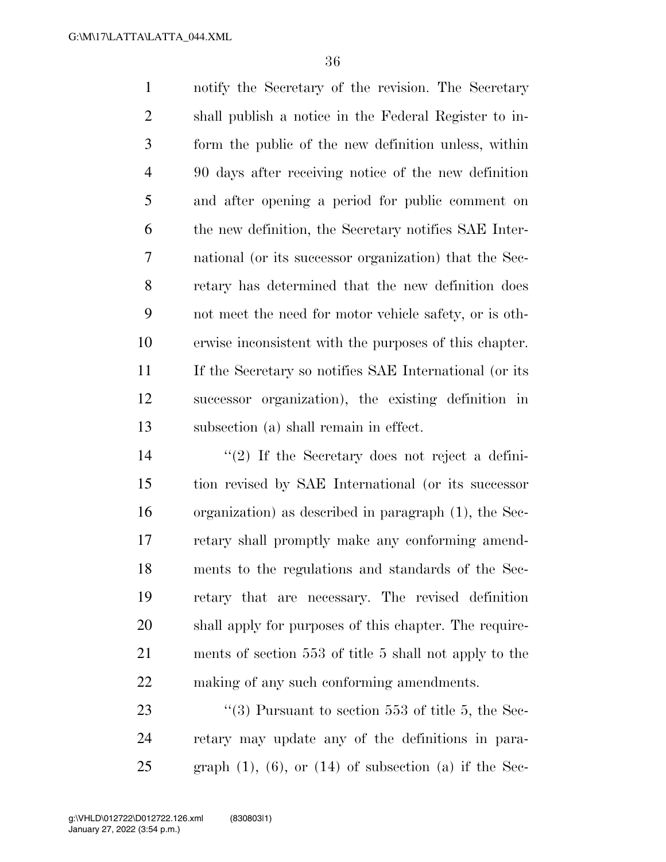notify the Secretary of the revision. The Secretary shall publish a notice in the Federal Register to in- form the public of the new definition unless, within 90 days after receiving notice of the new definition and after opening a period for public comment on the new definition, the Secretary notifies SAE Inter- national (or its successor organization) that the Sec- retary has determined that the new definition does not meet the need for motor vehicle safety, or is oth- erwise inconsistent with the purposes of this chapter. If the Secretary so notifies SAE International (or its successor organization), the existing definition in subsection (a) shall remain in effect.

 ''(2) If the Secretary does not reject a defini- tion revised by SAE International (or its successor organization) as described in paragraph (1), the Sec- retary shall promptly make any conforming amend- ments to the regulations and standards of the Sec- retary that are necessary. The revised definition shall apply for purposes of this chapter. The require- ments of section 553 of title 5 shall not apply to the making of any such conforming amendments.

23  $\frac{1}{2}$  (3) Pursuant to section 553 of title 5, the Sec- retary may update any of the definitions in para-25 graph (1), (6), or (14) of subsection (a) if the Sec